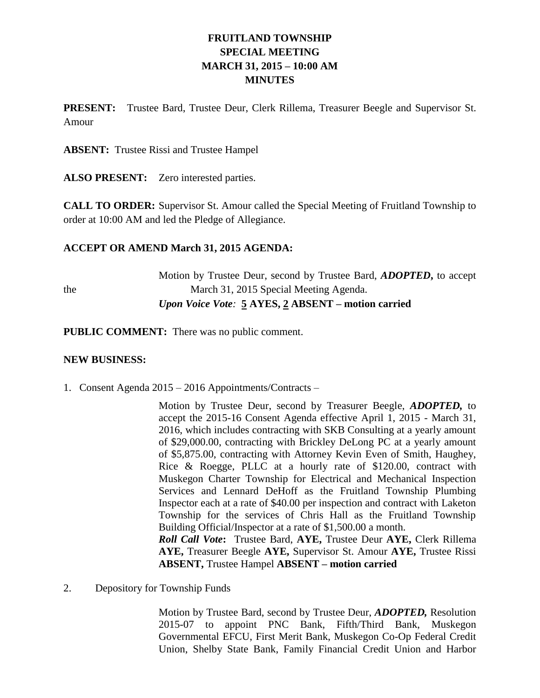# **FRUITLAND TOWNSHIP SPECIAL MEETING MARCH 31, 2015 – 10:00 AM MINUTES**

**PRESENT:** Trustee Bard, Trustee Deur, Clerk Rillema, Treasurer Beegle and Supervisor St. Amour

**ABSENT:** Trustee Rissi and Trustee Hampel

**ALSO PRESENT:** Zero interested parties.

**CALL TO ORDER:** Supervisor St. Amour called the Special Meeting of Fruitland Township to order at 10:00 AM and led the Pledge of Allegiance.

### **ACCEPT OR AMEND March 31, 2015 AGENDA:**

Motion by Trustee Deur, second by Trustee Bard, *ADOPTED***,** to accept the March 31, 2015 Special Meeting Agenda. *Upon Voice Vote:* **5 AYES, 2 ABSENT – motion carried**

**PUBLIC COMMENT:** There was no public comment.

#### **NEW BUSINESS:**

1. Consent Agenda 2015 – 2016 Appointments/Contracts –

Motion by Trustee Deur, second by Treasurer Beegle, *ADOPTED,* to accept the 2015-16 Consent Agenda effective April 1, 2015 - March 31, 2016, which includes contracting with SKB Consulting at a yearly amount of \$29,000.00, contracting with Brickley DeLong PC at a yearly amount of \$5,875.00, contracting with Attorney Kevin Even of Smith, Haughey, Rice & Roegge, PLLC at a hourly rate of \$120.00, contract with Muskegon Charter Township for Electrical and Mechanical Inspection Services and Lennard DeHoff as the Fruitland Township Plumbing Inspector each at a rate of \$40.00 per inspection and contract with Laketon Township for the services of Chris Hall as the Fruitland Township Building Official/Inspector at a rate of \$1,500.00 a month. *Roll Call Vote***:** Trustee Bard, **AYE,** Trustee Deur **AYE,** Clerk Rillema **AYE,** Treasurer Beegle **AYE,** Supervisor St. Amour **AYE,** Trustee Rissi **ABSENT,** Trustee Hampel **ABSENT – motion carried**

2. Depository for Township Funds

Motion by Trustee Bard, second by Trustee Deur, *ADOPTED,* Resolution 2015-07 to appoint PNC Bank, Fifth/Third Bank, Muskegon Governmental EFCU, First Merit Bank, Muskegon Co-Op Federal Credit Union, Shelby State Bank, Family Financial Credit Union and Harbor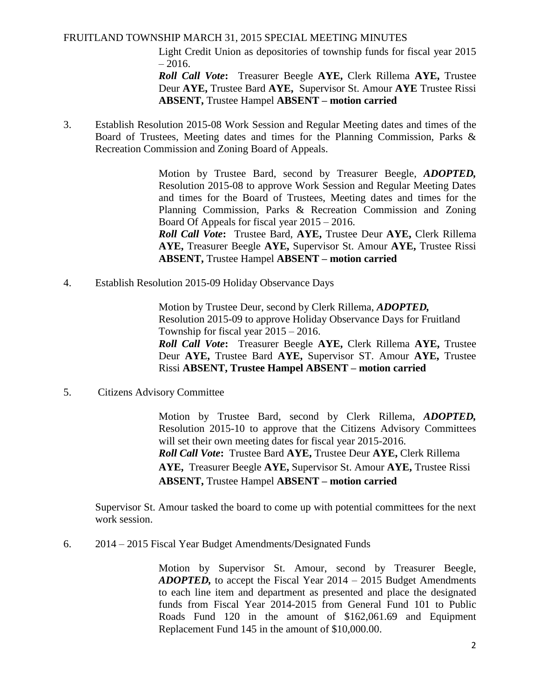#### FRUITLAND TOWNSHIP MARCH 31, 2015 SPECIAL MEETING MINUTES

Light Credit Union as depositories of township funds for fiscal year 2015  $-2016.$ 

*Roll Call Vote***:** Treasurer Beegle **AYE,** Clerk Rillema **AYE,** Trustee Deur **AYE,** Trustee Bard **AYE,** Supervisor St. Amour **AYE** Trustee Rissi **ABSENT,** Trustee Hampel **ABSENT – motion carried**

3. Establish Resolution 2015-08 Work Session and Regular Meeting dates and times of the Board of Trustees, Meeting dates and times for the Planning Commission, Parks & Recreation Commission and Zoning Board of Appeals.

> Motion by Trustee Bard, second by Treasurer Beegle, *ADOPTED,*  Resolution 2015-08 to approve Work Session and Regular Meeting Dates and times for the Board of Trustees, Meeting dates and times for the Planning Commission, Parks & Recreation Commission and Zoning Board Of Appeals for fiscal year 2015 – 2016.

> *Roll Call Vote***:** Trustee Bard, **AYE,** Trustee Deur **AYE,** Clerk Rillema **AYE,** Treasurer Beegle **AYE,** Supervisor St. Amour **AYE,** Trustee Rissi **ABSENT,** Trustee Hampel **ABSENT – motion carried**

4. Establish Resolution 2015-09 Holiday Observance Days

Motion by Trustee Deur, second by Clerk Rillema, *ADOPTED,*  Resolution 2015-09 to approve Holiday Observance Days for Fruitland Township for fiscal year 2015 – 2016. *Roll Call Vote***:** Treasurer Beegle **AYE,** Clerk Rillema **AYE,** Trustee Deur **AYE,** Trustee Bard **AYE,** Supervisor ST. Amour **AYE,** Trustee Rissi **ABSENT, Trustee Hampel ABSENT – motion carried**

5. Citizens Advisory Committee

Motion by Trustee Bard, second by Clerk Rillema, *ADOPTED,*  Resolution 2015-10 to approve that the Citizens Advisory Committees will set their own meeting dates for fiscal year 2015-2016. *Roll Call Vote***:** Trustee Bard **AYE,** Trustee Deur **AYE,** Clerk Rillema **AYE,** Treasurer Beegle **AYE,** Supervisor St. Amour **AYE,** Trustee Rissi **ABSENT,** Trustee Hampel **ABSENT – motion carried**

Supervisor St. Amour tasked the board to come up with potential committees for the next work session.

6. 2014 – 2015 Fiscal Year Budget Amendments/Designated Funds

Motion by Supervisor St. Amour, second by Treasurer Beegle, *ADOPTED,* to accept the Fiscal Year 2014 – 2015 Budget Amendments to each line item and department as presented and place the designated funds from Fiscal Year 2014-2015 from General Fund 101 to Public Roads Fund 120 in the amount of \$162,061.69 and Equipment Replacement Fund 145 in the amount of \$10,000.00.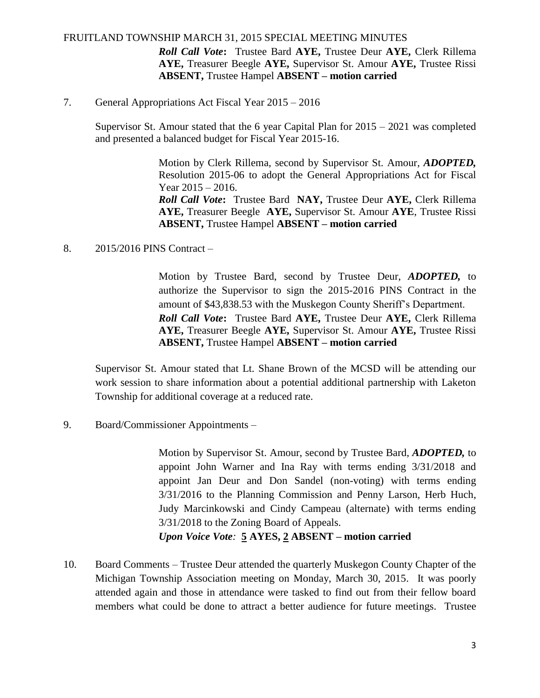#### FRUITLAND TOWNSHIP MARCH 31, 2015 SPECIAL MEETING MINUTES

*Roll Call Vote***:** Trustee Bard **AYE,** Trustee Deur **AYE,** Clerk Rillema **AYE,** Treasurer Beegle **AYE,** Supervisor St. Amour **AYE,** Trustee Rissi **ABSENT,** Trustee Hampel **ABSENT – motion carried**

#### 7. General Appropriations Act Fiscal Year 2015 – 2016

Supervisor St. Amour stated that the 6 year Capital Plan for 2015 – 2021 was completed and presented a balanced budget for Fiscal Year 2015-16.

> Motion by Clerk Rillema, second by Supervisor St. Amour, *ADOPTED,*  Resolution 2015-06 to adopt the General Appropriations Act for Fiscal Year 2015 – 2016. *Roll Call Vote***:** Trustee Bard **NAY,** Trustee Deur **AYE,** Clerk Rillema **AYE,** Treasurer Beegle **AYE,** Supervisor St. Amour **AYE**, Trustee Rissi **ABSENT,** Trustee Hampel **ABSENT – motion carried**

8. 2015/2016 PINS Contract –

Motion by Trustee Bard, second by Trustee Deur, *ADOPTED,* to authorize the Supervisor to sign the 2015-2016 PINS Contract in the amount of \$43,838.53 with the Muskegon County Sheriff's Department. *Roll Call Vote***:** Trustee Bard **AYE,** Trustee Deur **AYE,** Clerk Rillema **AYE,** Treasurer Beegle **AYE,** Supervisor St. Amour **AYE,** Trustee Rissi **ABSENT,** Trustee Hampel **ABSENT – motion carried**

Supervisor St. Amour stated that Lt. Shane Brown of the MCSD will be attending our work session to share information about a potential additional partnership with Laketon Township for additional coverage at a reduced rate.

9. Board/Commissioner Appointments –

Motion by Supervisor St. Amour, second by Trustee Bard, *ADOPTED,* to appoint John Warner and Ina Ray with terms ending 3/31/2018 and appoint Jan Deur and Don Sandel (non-voting) with terms ending 3/31/2016 to the Planning Commission and Penny Larson, Herb Huch, Judy Marcinkowski and Cindy Campeau (alternate) with terms ending 3/31/2018 to the Zoning Board of Appeals.

*Upon Voice Vote:* **5 AYES, 2 ABSENT – motion carried**

10. Board Comments – Trustee Deur attended the quarterly Muskegon County Chapter of the Michigan Township Association meeting on Monday, March 30, 2015. It was poorly attended again and those in attendance were tasked to find out from their fellow board members what could be done to attract a better audience for future meetings. Trustee